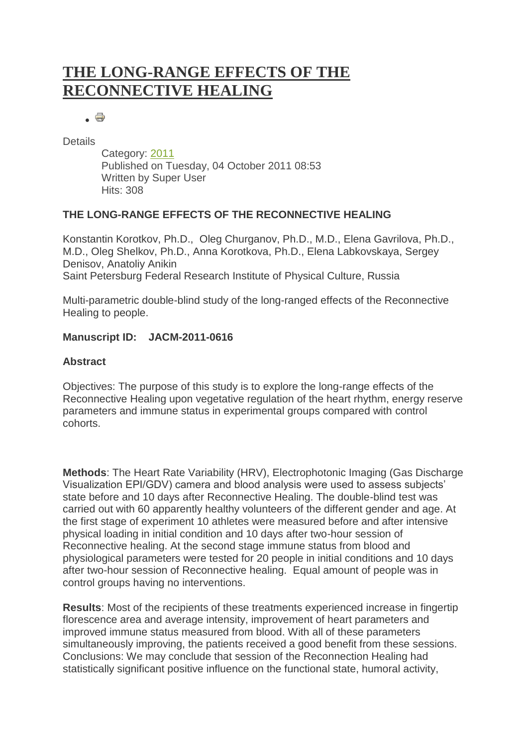# **[THE LONG-RANGE EFFECTS OF THE](http://www.iumab.org/index.php/2011-conference/863-the-reconnective-healing)  [RECONNECTIVE HEALING](http://www.iumab.org/index.php/2011-conference/863-the-reconnective-healing)**

. 8

**Details** 

Category: [2011](http://www.iumab.org/index.php/2011-conference) Published on Tuesday, 04 October 2011 08:53 Written by Super User Hits: 308

# **THE LONG-RANGE EFFECTS OF THE RECONNECTIVE HEALING**

Konstantin Korotkov, Ph.D., Oleg Churganov, Ph.D., M.D., Elena Gavrilova, Ph.D., M.D., Oleg Shelkov, Ph.D., Anna Korotkova, Ph.D., Elena Labkovskaya, Sergey Denisov, Anatoliy Anikin Saint Petersburg Federal Research Institute of Physical Culture, Russia

Multi-parametric double-blind study of the long-ranged effects of the Reconnective Healing to people.

# **Manuscript ID: JACM-2011-0616**

# **Abstract**

Objectives: The purpose of this study is to explore the long-range effects of the Reconnective Healing upon vegetative regulation of the heart rhythm, energy reserve parameters and immune status in experimental groups compared with control cohorts.

**Methods**: The Heart Rate Variability (HRV), Electrophotonic Imaging (Gas Discharge Visualization EPI/GDV) camera and blood analysis were used to assess subjects" state before and 10 days after Reconnective Healing. The double-blind test was carried out with 60 apparently healthy volunteers of the different gender and age. At the first stage of experiment 10 athletes were measured before and after intensive physical loading in initial condition and 10 days after two-hour session of Reconnective healing. At the second stage immune status from blood and physiological parameters were tested for 20 people in initial conditions and 10 days after two-hour session of Reconnective healing. Equal amount of people was in control groups having no interventions.

**Results**: Most of the recipients of these treatments experienced increase in fingertip florescence area and average intensity, improvement of heart parameters and improved immune status measured from blood. With all of these parameters simultaneously improving, the patients received a good benefit from these sessions. Conclusions: We may conclude that session of the Reconnection Healing had statistically significant positive influence on the functional state, humoral activity,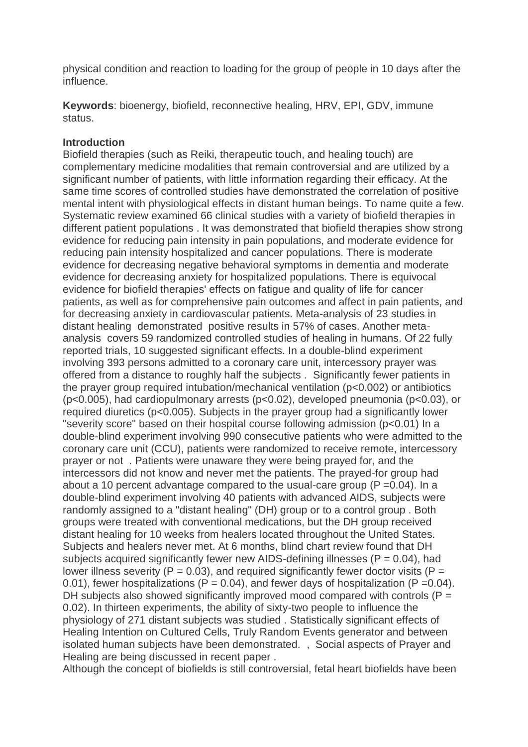physical condition and reaction to loading for the group of people in 10 days after the influence.

**Keywords**: bioenergy, biofield, reconnective healing, HRV, EPI, GDV, immune status.

#### **Introduction**

Biofield therapies (such as Reiki, therapeutic touch, and healing touch) are complementary medicine modalities that remain controversial and are utilized by a significant number of patients, with little information regarding their efficacy. At the same time scores of controlled studies have demonstrated the correlation of positive mental intent with physiological effects in distant human beings. To name quite a few. Systematic review examined 66 clinical studies with a variety of biofield therapies in different patient populations . It was demonstrated that biofield therapies show strong evidence for reducing pain intensity in pain populations, and moderate evidence for reducing pain intensity hospitalized and cancer populations. There is moderate evidence for decreasing negative behavioral symptoms in dementia and moderate evidence for decreasing anxiety for hospitalized populations. There is equivocal evidence for biofield therapies' effects on fatigue and quality of life for cancer patients, as well as for comprehensive pain outcomes and affect in pain patients, and for decreasing anxiety in cardiovascular patients. Meta-analysis of 23 studies in distant healing demonstrated positive results in 57% of cases. Another metaanalysis covers 59 randomized controlled studies of healing in humans. Of 22 fully reported trials, 10 suggested significant effects. In a double-blind experiment involving 393 persons admitted to a coronary care unit, intercessory prayer was offered from a distance to roughly half the subjects . Significantly fewer patients in the prayer group required intubation/mechanical ventilation (p<0.002) or antibiotics (p<0.005), had cardiopulmonary arrests (p<0.02), developed pneumonia (p<0.03), or required diuretics (p<0.005). Subjects in the prayer group had a significantly lower "severity score" based on their hospital course following admission (p<0.01) In a double-blind experiment involving 990 consecutive patients who were admitted to the coronary care unit (CCU), patients were randomized to receive remote, intercessory prayer or not . Patients were unaware they were being prayed for, and the intercessors did not know and never met the patients. The prayed-for group had about a 10 percent advantage compared to the usual-care group  $(P = 0.04)$ . In a double-blind experiment involving 40 patients with advanced AIDS, subjects were randomly assigned to a "distant healing" (DH) group or to a control group . Both groups were treated with conventional medications, but the DH group received distant healing for 10 weeks from healers located throughout the United States. Subjects and healers never met. At 6 months, blind chart review found that DH subjects acquired significantly fewer new AIDS-defining illnesses ( $P = 0.04$ ), had lower illness severity ( $P = 0.03$ ), and required significantly fewer doctor visits ( $P =$ 0.01), fewer hospitalizations ( $P = 0.04$ ), and fewer days of hospitalization ( $P = 0.04$ ). DH subjects also showed significantly improved mood compared with controls ( $P =$ 0.02). In thirteen experiments, the ability of sixty-two people to influence the physiology of 271 distant subjects was studied . Statistically significant effects of Healing Intention on Cultured Cells, Truly Random Events generator and between isolated human subjects have been demonstrated. , Social aspects of Prayer and Healing are being discussed in recent paper .

Although the concept of biofields is still controversial, fetal heart biofields have been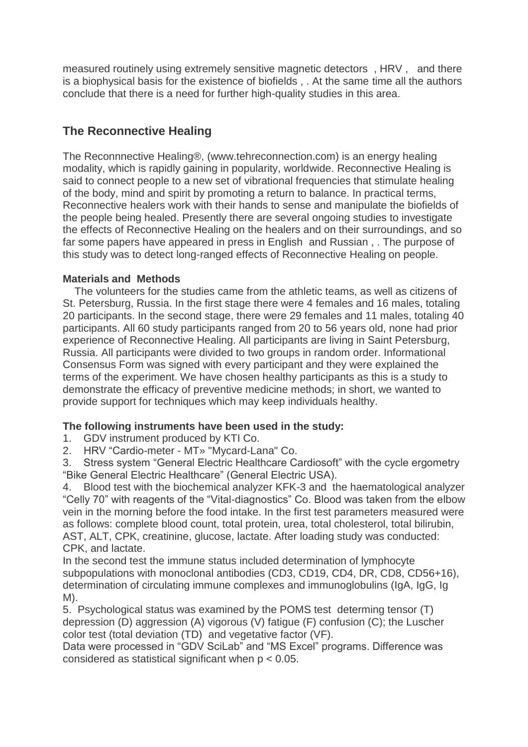measured routinely using extremely sensitive magnetic detectors , HRV , and there is a biophysical basis for the existence of biofields , . At the same time all the authors conclude that there is a need for further high-quality studies in this area.

# **The Reconnective Healing**

The Reconnnective Healing®, (www.tehreconnection.com) is an energy healing modality, which is rapidly gaining in popularity, worldwide. Reconnective Healing is said to connect people to a new set of vibrational frequencies that stimulate healing of the body, mind and spirit by promoting a return to balance. In practical terms, Reconnective healers work with their hands to sense and manipulate the biofields of the people being healed. Presently there are several ongoing studies to investigate the effects of Reconnective Healing on the healers and on their surroundings, and so far some papers have appeared in press in English and Russian , . The purpose of this study was to detect long-ranged effects of Reconnective Healing on people.

# **Materials and Methods**

 The volunteers for the studies came from the athletic teams, as well as citizens of St. Petersburg, Russia. In the first stage there were 4 females and 16 males, totaling 20 participants. In the second stage, there were 29 females and 11 males, totaling 40 participants. All 60 study participants ranged from 20 to 56 years old, none had prior experience of Reconnective Healing. All participants are living in Saint Petersburg, Russia. All participants were divided to two groups in random order. Informational Consensus Form was signed with every participant and they were explained the terms of the experiment. We have chosen healthy participants as this is a study to demonstrate the efficacy of preventive medicine methods; in short, we wanted to provide support for techniques which may keep individuals healthy.

# **The following instruments have been used in the study:**

1. GDV instrument produced by KTI Co.

2. HRV "Cardio-meter - MT» "Mycard-Lana" Co.

3. Stress system "General Electric Healthcare Cardiosoft" with the cycle ergometry "Bike General Electric Healthcare" (General Electric USA).

4. Blood test with the biochemical analyzer KFK-3 and the haematological analyzer "Celly 70" with reagents of the "Vital-diagnostics" Co. Blood was taken from the elbow vein in the morning before the food intake. In the first test parameters measured were as follows: complete blood count, total protein, urea, total cholesterol, total bilirubin, AST, ALT, CPK, creatinine, glucose, lactate. After loading study was conducted: CPK, and lactate.

In the second test the immune status included determination of lymphocyte subpopulations with monoclonal antibodies (CD3, CD19, CD4, DR, CD8, CD56+16), determination of circulating immune complexes and immunoglobulins (IgA, IgG, Ig M).

5. Psychological status was examined by the POMS test determing tensor (T) depression (D) aggression (A) vigorous (V) fatigue (F) confusion (C); the Luscher color test (total deviation (TD) and vegetative factor (VF).

Data were processed in "GDV SciLab" and "MS Excel" programs. Difference was considered as statistical significant when p < 0.05.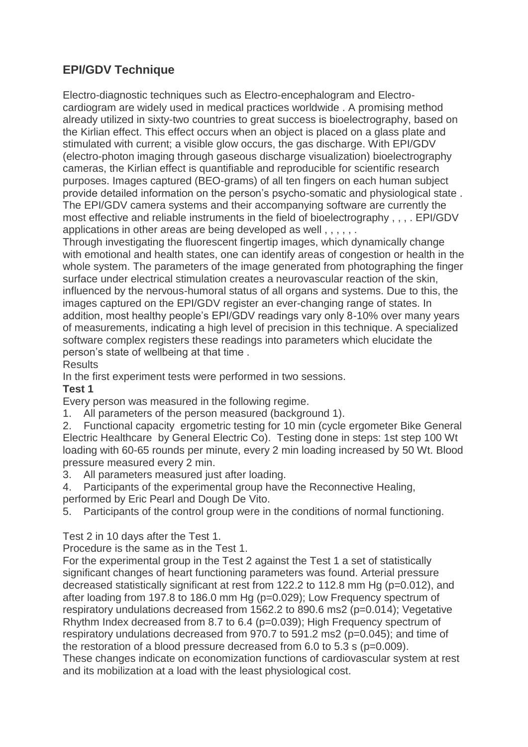# **EPI/GDV Technique**

Electro-diagnostic techniques such as Electro-encephalogram and Electrocardiogram are widely used in medical practices worldwide . A promising method already utilized in sixty-two countries to great success is bioelectrography, based on the Kirlian effect. This effect occurs when an object is placed on a glass plate and stimulated with current; a visible glow occurs, the gas discharge. With EPI/GDV (electro-photon imaging through gaseous discharge visualization) bioelectrography cameras, the Kirlian effect is quantifiable and reproducible for scientific research purposes. Images captured (BEO-grams) of all ten fingers on each human subject provide detailed information on the person"s psycho-somatic and physiological state . The EPI/GDV camera systems and their accompanying software are currently the most effective and reliable instruments in the field of bioelectrography , , , . EPI/GDV applications in other areas are being developed as well , , , , , .

Through investigating the fluorescent fingertip images, which dynamically change with emotional and health states, one can identify areas of congestion or health in the whole system. The parameters of the image generated from photographing the finger surface under electrical stimulation creates a neurovascular reaction of the skin, influenced by the nervous-humoral status of all organs and systems. Due to this, the images captured on the EPI/GDV register an ever-changing range of states. In addition, most healthy people's EPI/GDV readings vary only 8-10% over many years of measurements, indicating a high level of precision in this technique. A specialized software complex registers these readings into parameters which elucidate the person"s state of wellbeing at that time .

# **Results**

In the first experiment tests were performed in two sessions.

# **Test 1**

Every person was measured in the following regime.

1. All parameters of the person measured (background 1).

2. Functional capacity ergometric testing for 10 min (cycle ergometer Bike General Electric Healthcare by General Electric Co). Testing done in steps: 1st step 100 Wt loading with 60-65 rounds per minute, every 2 min loading increased by 50 Wt. Blood pressure measured every 2 min.

- 3. All parameters measured just after loading.
- 4. Participants of the experimental group have the Reconnective Healing,
- performed by Eric Pearl and Dough De Vito.
- 5. Participants of the control group were in the conditions of normal functioning.

### Test 2 in 10 days after the Test 1.

Procedure is the same as in the Test 1.

For the experimental group in the Test 2 against the Test 1 a set of statistically significant changes of heart functioning parameters was found. Arterial pressure decreased statistically significant at rest from 122.2 to 112.8 mm Hg (p=0.012), and after loading from 197.8 to 186.0 mm Hg (p=0.029); Low Frequency spectrum of respiratory undulations decreased from 1562.2 to 890.6 ms2 (p=0.014); Vegetative Rhythm Index decreased from 8.7 to 6.4 (p=0.039); High Frequency spectrum of respiratory undulations decreased from 970.7 to 591.2 ms2 (p=0.045); and time of the restoration of a blood pressure decreased from 6.0 to 5.3 s (p=0.009).

These changes indicate on economization functions of cardiovascular system at rest and its mobilization at a load with the least physiological cost.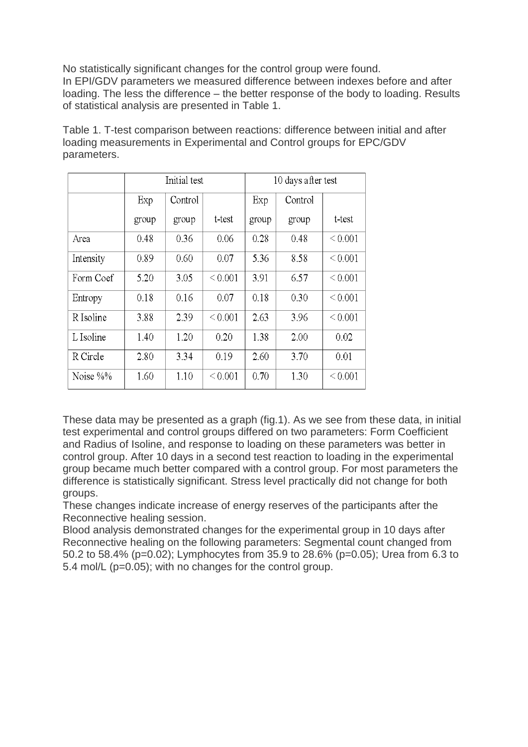No statistically significant changes for the control group were found. In EPI/GDV parameters we measured difference between indexes before and after loading. The less the difference – the better response of the body to loading. Results of statistical analysis are presented in Table 1.

|           | Initial test |         |                   | 10 days after test |         |              |  |
|-----------|--------------|---------|-------------------|--------------------|---------|--------------|--|
|           | Exp          | Control |                   | Exp                | Control |              |  |
|           | group        | group   | t-test            | group              | group   | t-test       |  |
| Area      | 0.48         | 0.36    | 0.06              | 0.28               | 0.48    | ${}< 0.001$  |  |
| Intensity | 0.89         | 0.60    | 0.07              | 5.36               | 8.58    | ${}< 0.001$  |  |
| Form Coef | 5.20         | 3.05    | ${}_{0.001}$      | 3.91               | 6.57    | ${}< 0.001$  |  |
| Entropy   | 0.18         | 0.16    | 0.07              | 0.18               | 0.30    | ${}< 0.001$  |  |
| R Isoline | 3.88         | 2.39    | ${}_{0.001}$      | 2.63               | 3.96    | ${}< 0.001$  |  |
| L Isoline | 1.40         | 1.20    | 0.20              | 1.38               | 2.00    | 0.02         |  |
| R Circle  | 2.80         | 3.34    | 0.19              | 2.60               | 3.70    | 0.01         |  |
| Noise %%  | 1.60         | 1.10    | ${}_{\leq 0.001}$ | 0.70               | 1.30    | ${}_{0.001}$ |  |

Table 1. T-test comparison between reactions: difference between initial and after loading measurements in Experimental and Control groups for EPC/GDV parameters.

These data may be presented as a graph (fig.1). As we see from these data, in initial test experimental and control groups differed on two parameters: Form Coefficient and Radius of Isoline, and response to loading on these parameters was better in control group. After 10 days in a second test reaction to loading in the experimental group became much better compared with a control group. For most parameters the difference is statistically significant. Stress level practically did not change for both groups.

These changes indicate increase of energy reserves of the participants after the Reconnective healing session.

Blood analysis demonstrated changes for the experimental group in 10 days after Reconnective healing on the following parameters: Segmental count changed from 50.2 to 58.4% (p=0.02); Lymphocytes from 35.9 to 28.6% (p=0.05); Urea from 6.3 to 5.4 mol/L (p=0.05); with no changes for the control group.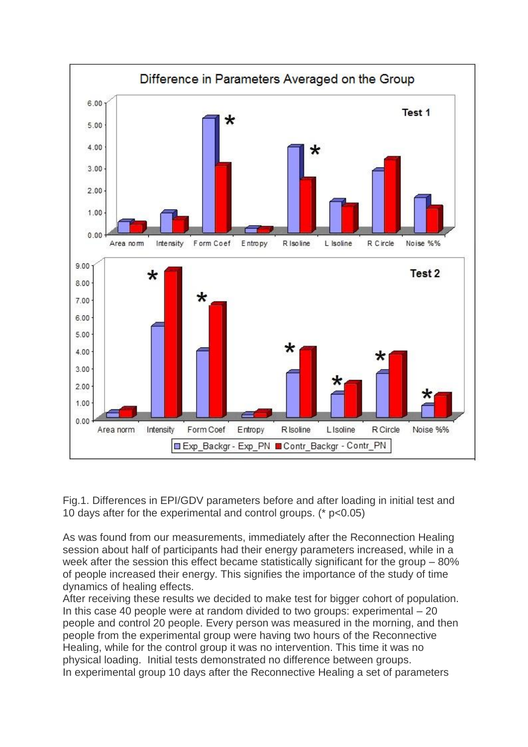

Fig.1. Differences in EPI/GDV parameters before and after loading in initial test and 10 days after for the experimental and control groups. (\* p<0.05)

As was found from our measurements, immediately after the Reconnection Healing session about half of participants had their energy parameters increased, while in a week after the session this effect became statistically significant for the group – 80% of people increased their energy. This signifies the importance of the study of time dynamics of healing effects.

After receiving these results we decided to make test for bigger cohort of population. In this case 40 people were at random divided to two groups: experimental  $-20$ people and control 20 people. Every person was measured in the morning, and then people from the experimental group were having two hours of the Reconnective Healing, while for the control group it was no intervention. This time it was no physical loading. Initial tests demonstrated no difference between groups. In experimental group 10 days after the Reconnective Healing a set of parameters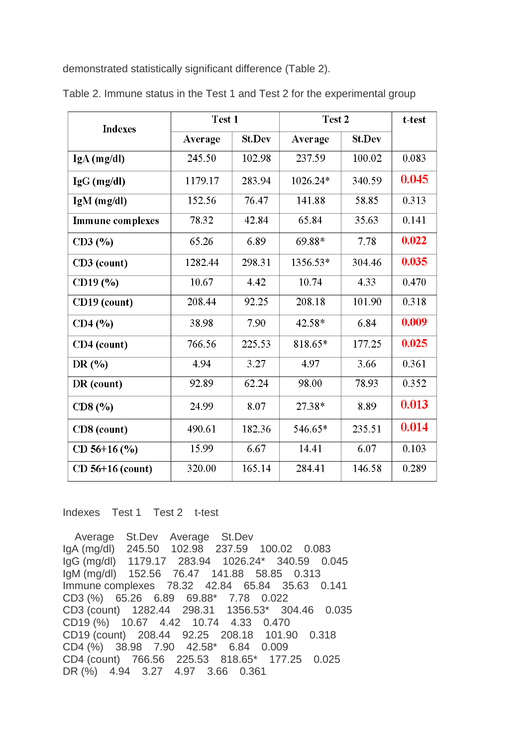demonstrated statistically significant difference (Table 2).

| <b>Indexes</b>          | Test 1  |               | Test 2   |               | t-test |
|-------------------------|---------|---------------|----------|---------------|--------|
|                         | Average | <b>St.Dev</b> | Average  | <b>St.Dev</b> |        |
| $IgA$ (mg/dl)           | 245.50  | 102.98        | 237.59   | 100.02        | 0.083  |
| $IgG$ (mg/dl)           | 1179.17 | 283.94        | 1026.24* | 340.59        | 0.045  |
| $IgM$ (mg/dl)           | 152.56  | 76.47         | 141.88   | 58.85         | 0.313  |
| <b>Immune</b> complexes | 78.32   | 42.84         | 65.84    | 35.63         | 0.141  |
| CD3(%)                  | 65.26   | 6.89          | 69.88*   | 7.78          | 0.022  |
| CD3 (count)             | 1282.44 | 298.31        | 1356.53* | 304.46        | 0.035  |
| CD19 (%)                | 10.67   | 4.42          | 10.74    | 4.33          | 0.470  |
| CD19 (count)            | 208.44  | 92.25         | 208.18   | 101.90        | 0.318  |
| CD4(%)                  | 38.98   | 7.90          | 42.58*   | 6.84          | 0.009  |
| CD4 (count)             | 766.56  | 225.53        | 818.65*  | 177.25        | 0.025  |
| DR $(%$                 | 4.94    | 3.27          | 4.97     | 3.66          | 0.361  |
| DR (count)              | 92.89   | 62.24         | 98.00    | 78.93         | 0.352  |
| CD8(%)                  | 24.99   | 8.07          | 27.38*   | 8.89          | 0.013  |
| CD8 (count)             | 490.61  | 182.36        | 546.65*  | 235.51        | 0.014  |
| CD $56+16$ (%)          | 15.99   | 6.67          | 14.41    | 6.07          | 0.103  |
| $CD$ 56+16 (count)      | 320.00  | 165.14        | 284.41   | 146.58        | 0.289  |

Table 2. Immune status in the Test 1 and Test 2 for the experimental group

Indexes Test 1 Test 2 t-test

 Average St.Dev Average St.Dev IgA (mg/dl) 245.50 102.98 237.59 100.02 0.083 IgG (mg/dl) 1179.17 283.94 1026.24\* 340.59 0.045 IgM (mg/dl) 152.56 76.47 141.88 58.85 0.313 Immune complexes 78.32 42.84 65.84 35.63 0.141 CD3 (%) 65.26 6.89 69.88\* 7.78 0.022 CD3 (count) 1282.44 298.31 1356.53\* 304.46 0.035 CD19 (%) 10.67 4.42 10.74 4.33 0.470 CD19 (count) 208.44 92.25 208.18 101.90 0.318 CD4 (%) 38.98 7.90 42.58\* 6.84 0.009 CD4 (count) 766.56 225.53 818.65\* 177.25 0.025 DR (%) 4.94 3.27 4.97 3.66 0.361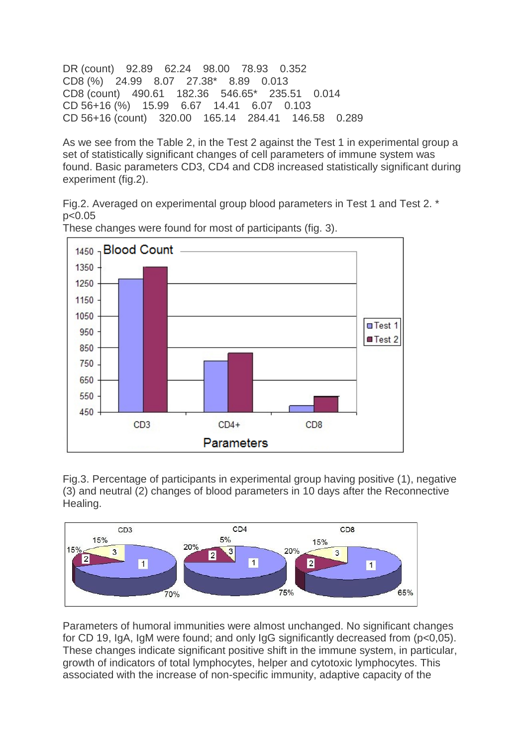DR (count) 92.89 62.24 98.00 78.93 0.352 CD8 (%) 24.99 8.07 27.38\* 8.89 0.013 CD8 (count) 490.61 182.36 546.65\* 235.51 0.014 CD 56+16 (%) 15.99 6.67 14.41 6.07 0.103 CD 56+16 (count) 320.00 165.14 284.41 146.58 0.289

As we see from the Table 2, in the Test 2 against the Test 1 in experimental group a set of statistically significant changes of cell parameters of immune system was found. Basic parameters CD3, CD4 and CD8 increased statistically significant during experiment (fig.2).

Fig.2. Averaged on experimental group blood parameters in Test 1 and Test 2. \* p<0.05



These changes were found for most of participants (fig. 3).

Fig.3. Percentage of participants in experimental group having positive (1), negative (3) and neutral (2) changes of blood parameters in 10 days after the Reconnective Healing.



Parameters of humoral immunities were almost unchanged. No significant changes for CD 19, IgA, IgM were found; and only IgG significantly decreased from (p<0,05). These changes indicate significant positive shift in the immune system, in particular, growth of indicators of total lymphocytes, helper and cytotoxic lymphocytes. This associated with the increase of non-specific immunity, adaptive capacity of the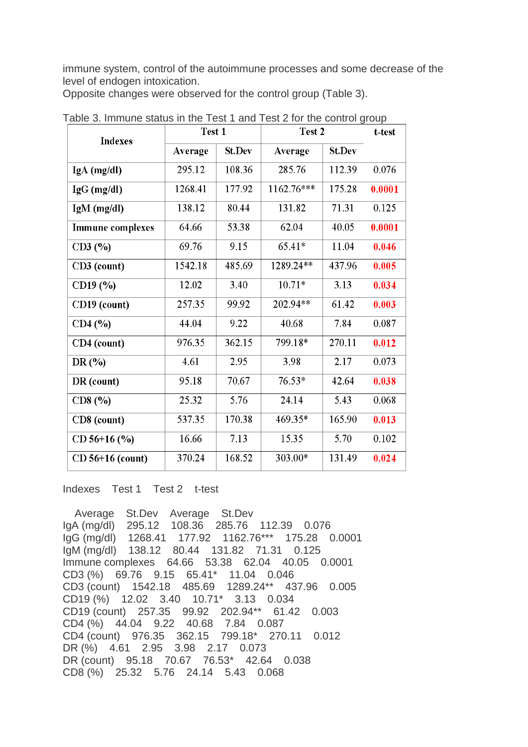immune system, control of the autoimmune processes and some decrease of the level of endogen intoxication.

Opposite changes were observed for the control group (Table 3).

| <b>Indexes</b>          | Test 1  | Test 2 |            |        | t-test |
|-------------------------|---------|--------|------------|--------|--------|
|                         | Average | St.Dev | Average    | St.Dev |        |
| $IgA$ (mg/dl)           | 295.12  | 108.36 | 285.76     | 112.39 | 0.076  |
| $IgG$ (mg/dl)           | 1268.41 | 177.92 | 1162.76*** | 175.28 | 0.0001 |
| $IgM$ (mg/dl)           | 138.12  | 80.44  | 131.82     | 71.31  | 0.125  |
| <b>Immune complexes</b> | 64.66   | 53.38  | 62.04      | 40.05  | 0.0001 |
| CD3(%)                  | 69.76   | 9.15   | 65.41*     | 11.04  | 0.046  |
| CD3 (count)             | 1542.18 | 485.69 | 1289.24**  | 437.96 | 0.005  |
| CD19 (%)                | 12.02   | 3.40   | $10.71*$   | 3.13   | 0.034  |
| CD19 (count)            | 257.35  | 99.92  | 202.94**   | 61.42  | 0.003  |
| CD4 (%)                 | 44.04   | 9.22   | 40.68      | 7.84   | 0.087  |
| CD4 (count)             | 976.35  | 362.15 | 799 18*    | 270.11 | 0.012  |
| DR(%)                   | 4.61    | 2.95   | 3.98       | 2.17   | 0.073  |
| DR (count)              | 95.18   | 70.67  | $76.53*$   | 42.64  | 0.038  |
| CD8(%)                  | 25.32   | 5.76   | 24.14      | 5.43   | 0.068  |
| CD8 (count)             | 537.35  | 170.38 | 469.35*    | 165.90 | 0.013  |
| $CD$ 56+16 $(\%$        | 16.66   | 7.13   | 15.35      | 5.70   | 0.102  |
| $CD$ 56+16 (count)      | 370.24  | 168.52 | 303.00*    | 131.49 | 0.024  |

Table 3. Immune status in the Test 1 and Test 2 for the control group

Indexes Test 1 Test 2 t-test

 Average St.Dev Average St.Dev IgA (mg/dl) 295.12 108.36 285.76 112.39 0.076 IgG (mg/dl) 1268.41 177.92 1162.76\*\*\* 175.28 0.0001 IgM (mg/dl) 138.12 80.44 131.82 71.31 0.125 Immune complexes 64.66 53.38 62.04 40.05 0.0001 CD3 (%) 69.76 9.15 65.41\* 11.04 0.046 CD3 (count) 1542.18 485.69 1289.24\*\* 437.96 0.005 CD19 (%) 12.02 3.40 10.71\* 3.13 0.034 CD19 (count) 257.35 99.92 202.94\*\* 61.42 0.003 CD4 (%) 44.04 9.22 40.68 7.84 0.087 CD4 (count) 976.35 362.15 799.18\* 270.11 0.012 DR (%) 4.61 2.95 3.98 2.17 0.073 DR (count) 95.18 70.67 76.53\* 42.64 0.038 CD8 (%) 25.32 5.76 24.14 5.43 0.068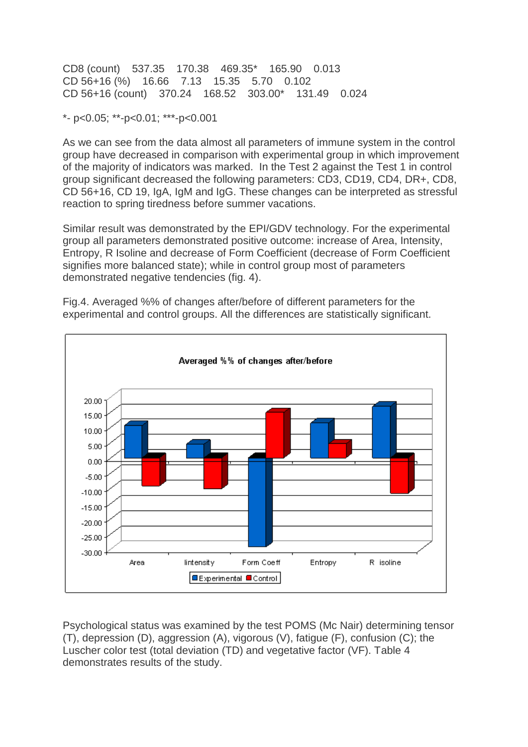CD8 (count) 537.35 170.38 469.35\* 165.90 0.013 CD 56+16 (%) 16.66 7.13 15.35 5.70 0.102 CD 56+16 (count) 370.24 168.52 303.00\* 131.49 0.024

\*- p<0.05; \*\*-p<0.01; \*\*\*-p<0.001

As we can see from the data almost all parameters of immune system in the control group have decreased in comparison with experimental group in which improvement of the majority of indicators was marked. In the Test 2 against the Test 1 in control group significant decreased the following parameters: CD3, CD19, CD4, DR+, CD8, CD 56+16, CD 19, IgA, IgM and IgG. These changes can be interpreted as stressful reaction to spring tiredness before summer vacations.

Similar result was demonstrated by the EPI/GDV technology. For the experimental group all parameters demonstrated positive outcome: increase of Area, Intensity, Entropy, R Isoline and decrease of Form Coefficient (decrease of Form Coefficient signifies more balanced state); while in control group most of parameters demonstrated negative tendencies (fig. 4).

Fig.4. Averaged %% of changes after/before of different parameters for the experimental and control groups. All the differences are statistically significant.



Psychological status was examined by the test POMS (Mc Nair) determining tensor (T), depression (D), aggression (A), vigorous (V), fatigue (F), confusion (C); the Luscher color test (total deviation (TD) and vegetative factor (VF). Table 4 demonstrates results of the study.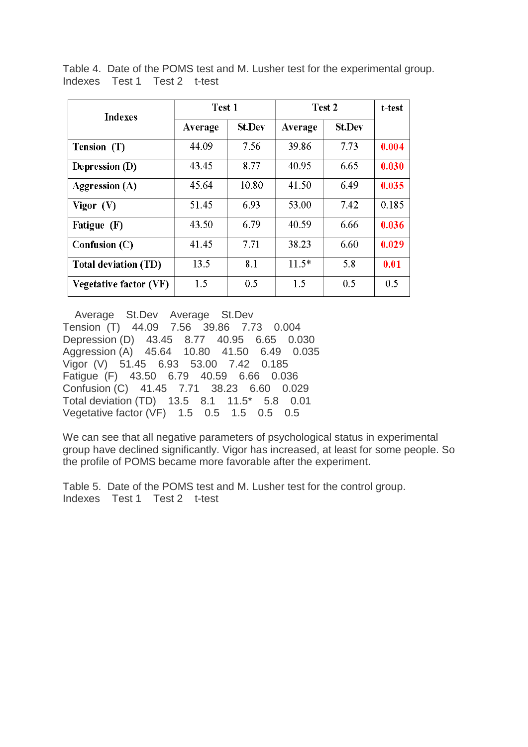Table 4. Date of the POMS test and M. Lusher test for the experimental group. Indexes Test 1 Test 2 t-test

| <b>Indexes</b>         | Test 1  |               | Test 2  |               | t-test |
|------------------------|---------|---------------|---------|---------------|--------|
|                        | Average | <b>St.Dev</b> | Average | <b>St.Dev</b> |        |
| Tension (T)            | 44.09   | 7.56          | 39.86   | 7.73          | 0.004  |
| Depression (D)         | 43.45   | 8.77          | 40.95   | 6.65          | 0.030  |
| <b>Aggression</b> (A)  | 45.64   | 10.80         | 41.50   | 6.49          | 0.035  |
| Vigor $(V)$            | 51.45   | 6.93          | 53.00   | 7.42          | 0.185  |
| Fatigue (F)            | 43.50   | 6.79          | 40.59   | 6.66          | 0.036  |
| Confusion $(C)$        | 41.45   | 7.71          | 38.23   | 6.60          | 0.029  |
| Total deviation (TD)   | 13.5    | 8.1           | $11.5*$ | 5.8           | 0.01   |
| Vegetative factor (VF) | 1.5     | 0.5           | 1.5     | 0.5           | 0.5    |

 Average St.Dev Average St.Dev Tension (T) 44.09 7.56 39.86 7.73 0.004 Depression (D) 43.45 8.77 40.95 6.65 0.030 Aggression (A) 45.64 10.80 41.50 6.49 0.035 Vigor (V) 51.45 6.93 53.00 7.42 0.185 Fatigue (F) 43.50 6.79 40.59 6.66 0.036 Confusion (C) 41.45 7.71 38.23 6.60 0.029 Total deviation (TD) 13.5 8.1 11.5\* 5.8 0.01 Vegetative factor (VF) 1.5 0.5 1.5 0.5 0.5

We can see that all negative parameters of psychological status in experimental group have declined significantly. Vigor has increased, at least for some people. So the profile of POMS became more favorable after the experiment.

Table 5. Date of the POMS test and M. Lusher test for the control group. Indexes Test 1 Test 2 t-test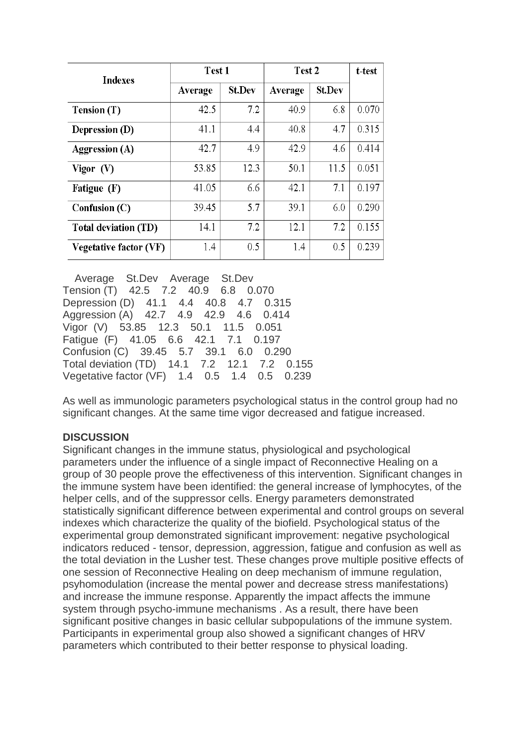| <b>Indexes</b>              | Test 1  |               | Test 2  |               | t-test |
|-----------------------------|---------|---------------|---------|---------------|--------|
|                             | Average | <b>St.Dev</b> | Average | <b>St.Dev</b> |        |
| Tension (T)                 | 42.5    | 7.2           | 40.9    | 6.8           | 0.070  |
| Depression (D)              | 41.1    | 4.4           | 40.8    | 4.7           | 0.315  |
| <b>Aggression (A)</b>       | 42.7    | 4.9           | 42.9    | 4.6           | 0.414  |
| Vigor $(V)$                 | 53.85   | 12.3          | 50.1    | 11.5          | 0.051  |
| Fatigue (F)                 | 41.05   | 6.6           | 42.1    | 7.1           | 0.197  |
| Confusion (C)               | 39.45   | 5.7           | 39.1    | 6.0           | 0.290  |
| <b>Total deviation (TD)</b> | 14.1    | 7.2           | 12.1    | 7.2           | 0.155  |
| Vegetative factor (VF)      | 1.4     | 0.5           | 1.4     | 0.5           | 0.239  |

 Average St.Dev Average St.Dev Tension (T) 42.5 7.2 40.9 6.8 0.070 Depression (D) 41.1 4.4 40.8 4.7 0.315 Aggression (A) 42.7 4.9 42.9 4.6 0.414 Vigor (V) 53.85 12.3 50.1 11.5 0.051 Fatigue (F) 41.05 6.6 42.1 7.1 0.197 Confusion (C) 39.45 5.7 39.1 6.0 0.290 Total deviation (TD) 14.1 7.2 12.1 7.2 0.155 Vegetative factor (VF) 1.4 0.5 1.4 0.5 0.239

As well as immunologic parameters psychological status in the control group had no significant changes. At the same time vigor decreased and fatigue increased.

# **DISCUSSION**

Significant changes in the immune status, physiological and psychological parameters under the influence of a single impact of Reconnective Healing on a group of 30 people prove the effectiveness of this intervention. Significant changes in the immune system have been identified: the general increase of lymphocytes, of the helper cells, and of the suppressor cells. Energy parameters demonstrated statistically significant difference between experimental and control groups on several indexes which characterize the quality of the biofield. Psychological status of the experimental group demonstrated significant improvement: negative psychological indicators reduced - tensor, depression, aggression, fatigue and confusion as well as the total deviation in the Lusher test. These changes prove multiple positive effects of one session of Reconnective Healing on deep mechanism of immune regulation, psyhomodulation (increase the mental power and decrease stress manifestations) and increase the immune response. Apparently the impact affects the immune system through psycho-immune mechanisms . As a result, there have been significant positive changes in basic cellular subpopulations of the immune system. Participants in experimental group also showed a significant changes of HRV parameters which contributed to their better response to physical loading.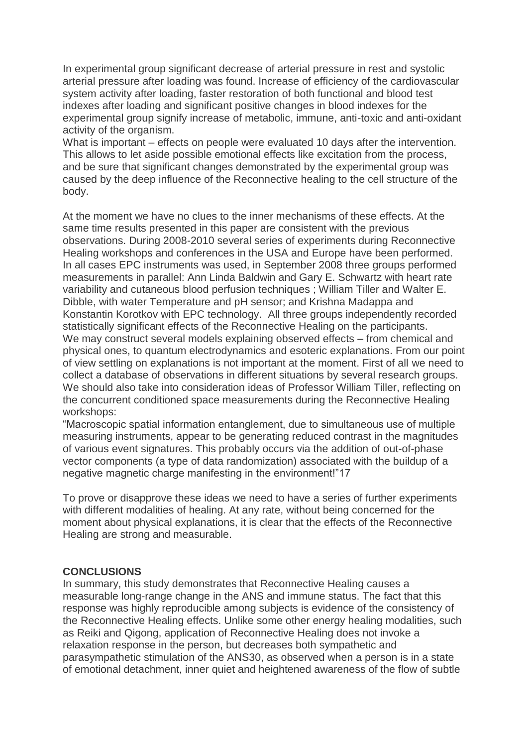In experimental group significant decrease of arterial pressure in rest and systolic arterial pressure after loading was found. Increase of efficiency of the cardiovascular system activity after loading, faster restoration of both functional and blood test indexes after loading and significant positive changes in blood indexes for the experimental group signify increase of metabolic, immune, anti-toxic and anti-oxidant activity of the organism.

What is important – effects on people were evaluated 10 days after the intervention. This allows to let aside possible emotional effects like excitation from the process, and be sure that significant changes demonstrated by the experimental group was caused by the deep influence of the Reconnective healing to the cell structure of the body.

At the moment we have no clues to the inner mechanisms of these effects. At the same time results presented in this paper are consistent with the previous observations. During 2008-2010 several series of experiments during Reconnective Healing workshops and conferences in the USA and Europe have been performed. In all cases EPC instruments was used, in September 2008 three groups performed measurements in parallel: Ann Linda Baldwin and Gary E. Schwartz with heart rate variability and cutaneous blood perfusion techniques ; William Tiller and Walter E. Dibble, with water Temperature and pH sensor; and Krishna Madappa and Konstantin Korotkov with EPC technology. All three groups independently recorded statistically significant effects of the Reconnective Healing on the participants. We may construct several models explaining observed effects – from chemical and physical ones, to quantum electrodynamics and esoteric explanations. From our point of view settling on explanations is not important at the moment. First of all we need to collect a database of observations in different situations by several research groups. We should also take into consideration ideas of Professor William Tiller, reflecting on the concurrent conditioned space measurements during the Reconnective Healing workshops:

"Macroscopic spatial information entanglement, due to simultaneous use of multiple measuring instruments, appear to be generating reduced contrast in the magnitudes of various event signatures. This probably occurs via the addition of out-of-phase vector components (a type of data randomization) associated with the buildup of a negative magnetic charge manifesting in the environment!"17

To prove or disapprove these ideas we need to have a series of further experiments with different modalities of healing. At any rate, without being concerned for the moment about physical explanations, it is clear that the effects of the Reconnective Healing are strong and measurable.

### **CONCLUSIONS**

In summary, this study demonstrates that Reconnective Healing causes a measurable long-range change in the ANS and immune status. The fact that this response was highly reproducible among subjects is evidence of the consistency of the Reconnective Healing effects. Unlike some other energy healing modalities, such as Reiki and Qigong, application of Reconnective Healing does not invoke a relaxation response in the person, but decreases both sympathetic and parasympathetic stimulation of the ANS30, as observed when a person is in a state of emotional detachment, inner quiet and heightened awareness of the flow of subtle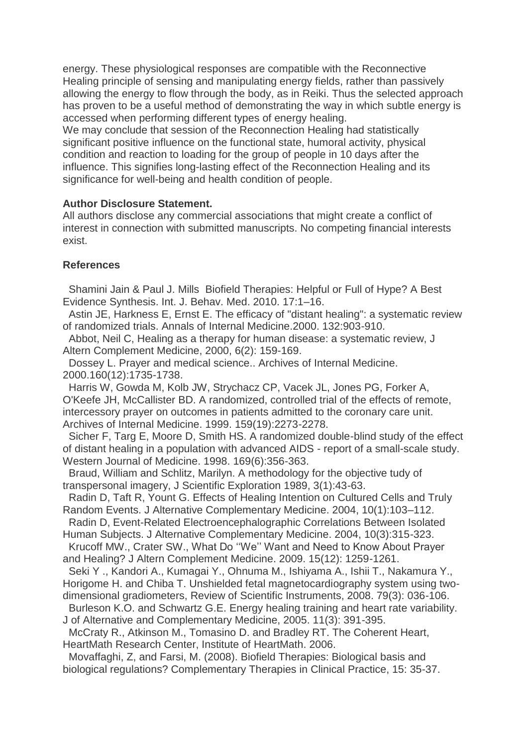energy. These physiological responses are compatible with the Reconnective Healing principle of sensing and manipulating energy fields, rather than passively allowing the energy to flow through the body, as in Reiki. Thus the selected approach has proven to be a useful method of demonstrating the way in which subtle energy is accessed when performing different types of energy healing.

We may conclude that session of the Reconnection Healing had statistically significant positive influence on the functional state, humoral activity, physical condition and reaction to loading for the group of people in 10 days after the influence. This signifies long-lasting effect of the Reconnection Healing and its significance for well-being and health condition of people.

### **Author Disclosure Statement.**

All authors disclose any commercial associations that might create a conflict of interest in connection with submitted manuscripts. No competing financial interests exist.

### **References**

Shamini Jain & Paul J. Mills Biofield Therapies: Helpful or Full of Hype? A Best Evidence Synthesis. Int. J. Behav. Med. 2010. 17:1–16.

Astin JE, Harkness E, Ernst E. The efficacy of "distant healing": a systematic review of randomized trials. Annals of Internal Medicine.2000. 132:903-910.

Abbot, Neil C, Healing as a therapy for human disease: a systematic review, J Altern Complement Medicine, 2000, 6(2): 159-169.

Dossey L. Prayer and medical science.. Archives of Internal Medicine. 2000.160(12):1735-1738.

Harris W, Gowda M, Kolb JW, Strychacz CP, Vacek JL, Jones PG, Forker A, O'Keefe JH, McCallister BD. A randomized, controlled trial of the effects of remote, intercessory prayer on outcomes in patients admitted to the coronary care unit. Archives of Internal Medicine. 1999. 159(19):2273-2278.

Sicher F, Targ E, Moore D, Smith HS. A randomized double-blind study of the effect of distant healing in a population with advanced AIDS - report of a small-scale study. Western Journal of Medicine. 1998. 169(6):356-363.

Braud, William and Schlitz, Marilyn. A methodology for the objective tudy of transpersonal imagery, J Scientific Exploration 1989, 3(1):43-63.

Radin D, Taft R, Yount G. Effects of Healing Intention on Cultured Cells and Truly Random Events. J Alternative Complementary Medicine. 2004, 10(1):103–112.

Radin D, Event-Related Electroencephalographic Correlations Between Isolated Human Subjects. J Alternative Complementary Medicine. 2004, 10(3):315-323.

Krucoff MW., Crater SW., What Do ""We"" Want and Need to Know About Prayer and Healing? J Altern Complement Medicine. 2009. 15(12): 1259-1261.

Seki Y ., Kandori A., Kumagai Y., Ohnuma M., Ishiyama A., Ishii T., Nakamura Y., Horigome H. and Chiba T. Unshielded fetal magnetocardiography system using twodimensional gradiometers, Review of Scientific Instruments, 2008. 79(3): 036-106.

Burleson K.O. and Schwartz G.E. Energy healing training and heart rate variability. J of Alternative and Complementary Medicine, 2005. 11(3): 391-395.

McCraty R., Atkinson M., Tomasino D. and Bradley RT. The Coherent Heart, HeartMath Research Center, Institute of HeartMath. 2006.

Movaffaghi, Z, and Farsi, M. (2008). Biofield Therapies: Biological basis and biological regulations? Complementary Therapies in Clinical Practice, 15: 35-37.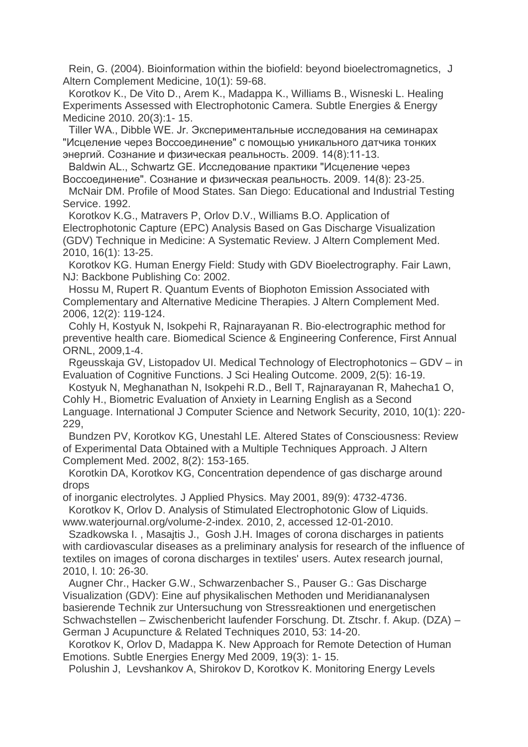Rein, G. (2004). Bioinformation within the biofield: beyond bioelectromagnetics, J Altern Complement Medicine, 10(1): 59-68.

Korotkov K., De Vito D., Arem K., Madappa K., Williams B., Wisneski L. Healing Experiments Assessed with Electrophotonic Camera. Subtle Energies & Energy Medicine 2010. 20(3):1- 15.

Tiller WA., Dibble WE. Jr. Экспериментальные исследования на семинарах "Исцеление через Воссоединение" с помощью уникального датчика тонких энергий. Сознание и физическая реальность. 2009. 14(8):11-13.

Baldwin AL., Schwartz GE. Исследование практики "Исцеление через Воссоединение". Сознание и физическая реальность. 2009. 14(8): 23-25.

McNair DM. Profile of Mood States. San Diego: Educational and Industrial Testing Service. 1992.

Korotkov K.G., Matravers P, Orlov D.V., Williams B.O. Application of Electrophotonic Capture (EPC) Analysis Based on Gas Discharge Visualization (GDV) Technique in Medicine: A Systematic Review. J Altern Complement Med. 2010, 16(1): 13-25.

Korotkov KG. Human Energy Field: Study with GDV Bioelectrography. Fair Lawn, NJ: Backbone Publishing Co: 2002.

Hossu M, Rupert R. Quantum Events of Biophoton Emission Associated with Complementary and Alternative Medicine Therapies. J Altern Complement Med. 2006, 12(2): 119-124.

Cohly H, Kostyuk N, Isokpehi R, Rajnarayanan R. Bio-electrographic method for preventive health care. Biomedical Science & Engineering Conference, First Annual ORNL, 2009,1-4.

Rgeusskaja GV, Listopadov UI. Medical Technology of Electrophotonics – GDV – in Evaluation of Cognitive Functions. J Sci Healing Outcome. 2009, 2(5): 16-19.

Kostyuk N, Meghanathan N, Isokpehi R.D., Bell T, Rajnarayanan R, Mahecha1 O, Cohly H., Biometric Evaluation of Anxiety in Learning English as a Second Language. International J Computer Science and Network Security, 2010, 10(1): 220- 229,

Bundzen PV, Korotkov KG, Unestahl LE. Altered States of Consciousness: Review of Experimental Data Obtained with a Multiple Techniques Approach. J Altern Complement Med. 2002, 8(2): 153-165.

Korotkin DA, Korotkov KG, Concentration dependence of gas discharge around drops

of inorganic electrolytes. J Applied Physics. May 2001, 89(9): 4732-4736. Korotkov K, Orlov D. Analysis of Stimulated Electrophotonic Glow of Liquids. www.waterjournal.org/volume-2-index. 2010, 2, accessed 12-01-2010.

Szadkowska I. , Masajtis J., Gosh J.H. Images of corona discharges in patients with cardiovascular diseases as a preliminary analysis for research of the influence of textiles on images of corona discharges in textiles' users. Autex research journal, 2010, l. 10: 26-30.

Augner Chr., Hacker G.W., Schwarzenbacher S., Pauser G.: Gas Discharge Visualization (GDV): Eine auf physikalischen Methoden und Meridiananalysen basierende Technik zur Untersuchung von Stressreaktionen und energetischen Schwachstellen – Zwischenbericht laufender Forschung. Dt. Ztschr. f. Akup. (DZA) – German J Acupuncture & Related Techniques 2010, 53: 14-20.

Korotkov K, Orlov D, Madappa K. New Approach for Remote Detection of Human Emotions. Subtle Energies Energy Med 2009, 19(3): 1- 15.

Polushin J, Levshankov A, Shirokov D, Korotkov K. Monitoring Energy Levels